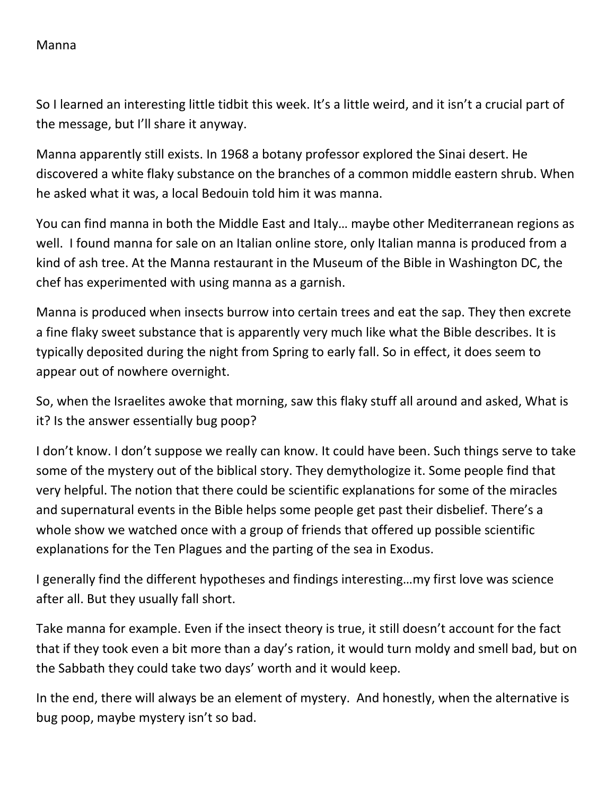## Manna

So I learned an interesting little tidbit this week. It's a little weird, and it isn't a crucial part of the message, but I'll share it anyway.

Manna apparently still exists. In 1968 a botany professor explored the Sinai desert. He discovered a white flaky substance on the branches of a common middle eastern shrub. When he asked what it was, a local Bedouin told him it was manna.

You can find manna in both the Middle East and Italy… maybe other Mediterranean regions as well. I found manna for sale on an Italian online store, only Italian manna is produced from a kind of ash tree. At the Manna restaurant in the Museum of the Bible in Washington DC, the chef has experimented with using manna as a garnish.

Manna is produced when insects burrow into certain trees and eat the sap. They then excrete a fine flaky sweet substance that is apparently very much like what the Bible describes. It is typically deposited during the night from Spring to early fall. So in effect, it does seem to appear out of nowhere overnight.

So, when the Israelites awoke that morning, saw this flaky stuff all around and asked, What is it? Is the answer essentially bug poop?

I don't know. I don't suppose we really can know. It could have been. Such things serve to take some of the mystery out of the biblical story. They demythologize it. Some people find that very helpful. The notion that there could be scientific explanations for some of the miracles and supernatural events in the Bible helps some people get past their disbelief. There's a whole show we watched once with a group of friends that offered up possible scientific explanations for the Ten Plagues and the parting of the sea in Exodus.

I generally find the different hypotheses and findings interesting…my first love was science after all. But they usually fall short.

Take manna for example. Even if the insect theory is true, it still doesn't account for the fact that if they took even a bit more than a day's ration, it would turn moldy and smell bad, but on the Sabbath they could take two days' worth and it would keep.

In the end, there will always be an element of mystery. And honestly, when the alternative is bug poop, maybe mystery isn't so bad.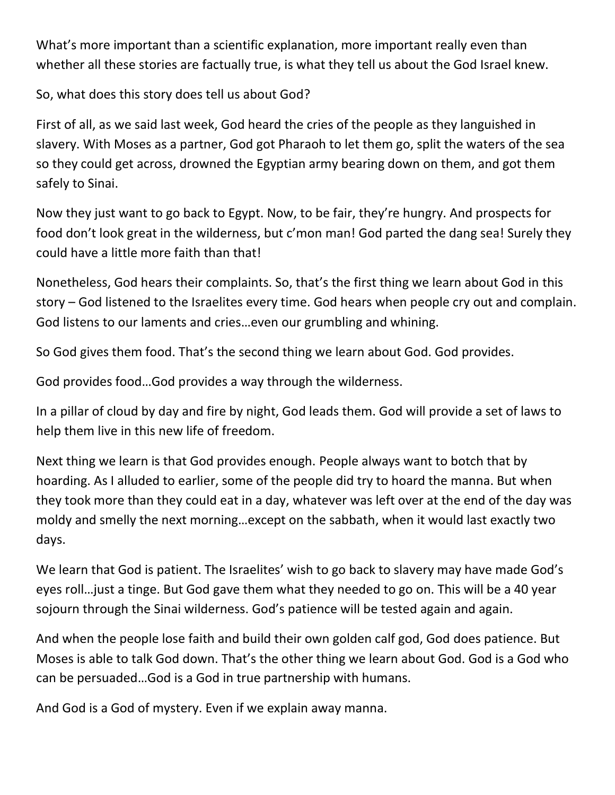What's more important than a scientific explanation, more important really even than whether all these stories are factually true, is what they tell us about the God Israel knew.

So, what does this story does tell us about God?

First of all, as we said last week, God heard the cries of the people as they languished in slavery. With Moses as a partner, God got Pharaoh to let them go, split the waters of the sea so they could get across, drowned the Egyptian army bearing down on them, and got them safely to Sinai.

Now they just want to go back to Egypt. Now, to be fair, they're hungry. And prospects for food don't look great in the wilderness, but c'mon man! God parted the dang sea! Surely they could have a little more faith than that!

Nonetheless, God hears their complaints. So, that's the first thing we learn about God in this story – God listened to the Israelites every time. God hears when people cry out and complain. God listens to our laments and cries…even our grumbling and whining.

So God gives them food. That's the second thing we learn about God. God provides.

God provides food…God provides a way through the wilderness.

In a pillar of cloud by day and fire by night, God leads them. God will provide a set of laws to help them live in this new life of freedom.

Next thing we learn is that God provides enough. People always want to botch that by hoarding. As I alluded to earlier, some of the people did try to hoard the manna. But when they took more than they could eat in a day, whatever was left over at the end of the day was moldy and smelly the next morning…except on the sabbath, when it would last exactly two days.

We learn that God is patient. The Israelites' wish to go back to slavery may have made God's eyes roll…just a tinge. But God gave them what they needed to go on. This will be a 40 year sojourn through the Sinai wilderness. God's patience will be tested again and again.

And when the people lose faith and build their own golden calf god, God does patience. But Moses is able to talk God down. That's the other thing we learn about God. God is a God who can be persuaded…God is a God in true partnership with humans.

And God is a God of mystery. Even if we explain away manna.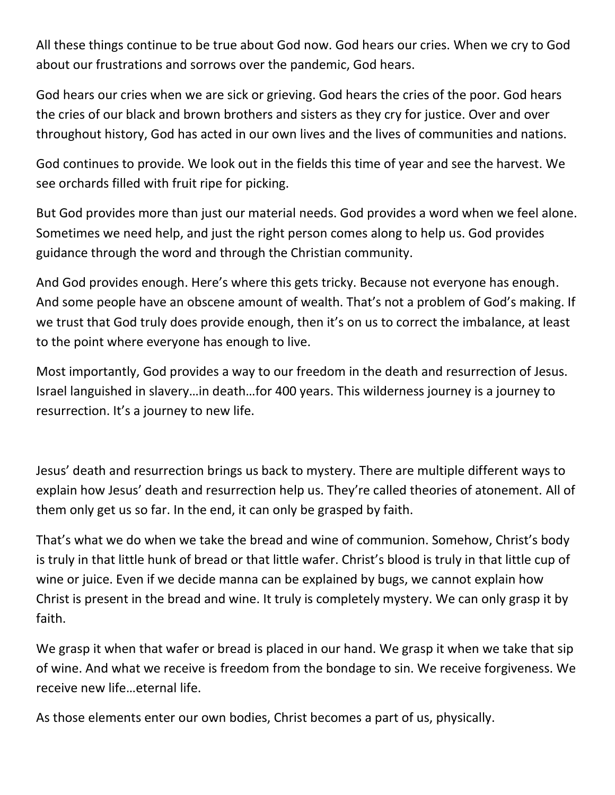All these things continue to be true about God now. God hears our cries. When we cry to God about our frustrations and sorrows over the pandemic, God hears.

God hears our cries when we are sick or grieving. God hears the cries of the poor. God hears the cries of our black and brown brothers and sisters as they cry for justice. Over and over throughout history, God has acted in our own lives and the lives of communities and nations.

God continues to provide. We look out in the fields this time of year and see the harvest. We see orchards filled with fruit ripe for picking.

But God provides more than just our material needs. God provides a word when we feel alone. Sometimes we need help, and just the right person comes along to help us. God provides guidance through the word and through the Christian community.

And God provides enough. Here's where this gets tricky. Because not everyone has enough. And some people have an obscene amount of wealth. That's not a problem of God's making. If we trust that God truly does provide enough, then it's on us to correct the imbalance, at least to the point where everyone has enough to live.

Most importantly, God provides a way to our freedom in the death and resurrection of Jesus. Israel languished in slavery…in death…for 400 years. This wilderness journey is a journey to resurrection. It's a journey to new life.

Jesus' death and resurrection brings us back to mystery. There are multiple different ways to explain how Jesus' death and resurrection help us. They're called theories of atonement. All of them only get us so far. In the end, it can only be grasped by faith.

That's what we do when we take the bread and wine of communion. Somehow, Christ's body is truly in that little hunk of bread or that little wafer. Christ's blood is truly in that little cup of wine or juice. Even if we decide manna can be explained by bugs, we cannot explain how Christ is present in the bread and wine. It truly is completely mystery. We can only grasp it by faith.

We grasp it when that wafer or bread is placed in our hand. We grasp it when we take that sip of wine. And what we receive is freedom from the bondage to sin. We receive forgiveness. We receive new life…eternal life.

As those elements enter our own bodies, Christ becomes a part of us, physically.